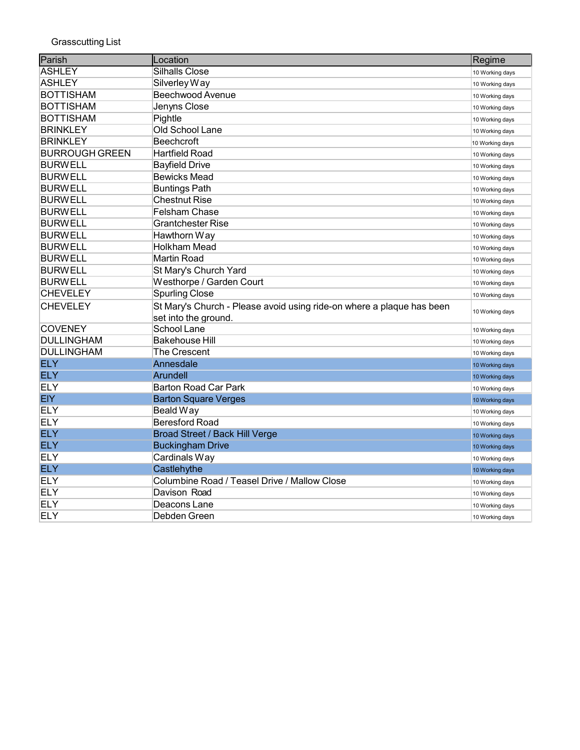| Parish                | Location                                                              | Regime          |
|-----------------------|-----------------------------------------------------------------------|-----------------|
| ASHLEY                | Silhalls Close                                                        | 10 Working days |
| ASHLEY                | Silverley Way                                                         | 10 Working days |
| <b>BOTTISHAM</b>      | <b>Beechwood Avenue</b>                                               | 10 Working days |
| <b>BOTTISHAM</b>      | Jenyns Close                                                          | 10 Working days |
| <b>BOTTISHAM</b>      | Pightle                                                               | 10 Working days |
| <b>BRINKLEY</b>       | Old School Lane                                                       | 10 Working days |
| <b>BRINKLEY</b>       | Beechcroft                                                            | 10 Working days |
| <b>BURROUGH GREEN</b> | <b>Hartfield Road</b>                                                 | 10 Working days |
| <b>BURWELL</b>        | <b>Bayfield Drive</b>                                                 | 10 Working days |
| <b>BURWELL</b>        | <b>Bewicks Mead</b>                                                   | 10 Working days |
| <b>BURWELL</b>        | <b>Buntings Path</b>                                                  | 10 Working days |
| <b>BURWELL</b>        | <b>Chestnut Rise</b>                                                  | 10 Working days |
| <b>BURWELL</b>        | <b>Felsham Chase</b>                                                  | 10 Working days |
| <b>BURWELL</b>        | <b>Grantchester Rise</b>                                              | 10 Working days |
| <b>BURWELL</b>        | Hawthorn Way                                                          | 10 Working days |
| <b>BURWELL</b>        | <b>Holkham Mead</b>                                                   | 10 Working days |
| <b>BURWELL</b>        | <b>Martin Road</b>                                                    | 10 Working days |
| <b>BURWELL</b>        | St Mary's Church Yard                                                 | 10 Working days |
| <b>BURWELL</b>        | Westhorpe / Garden Court                                              | 10 Working days |
| <b>CHEVELEY</b>       | <b>Spurling Close</b>                                                 | 10 Working days |
| <b>CHEVELEY</b>       | St Mary's Church - Please avoid using ride-on where a plaque has been | 10 Working days |
|                       | set into the ground.                                                  |                 |
| <b>COVENEY</b>        | School Lane                                                           | 10 Working days |
| <b>DULLINGHAM</b>     | Bakehouse Hill                                                        | 10 Working days |
| <b>DULLINGHAM</b>     | <b>The Crescent</b>                                                   | 10 Working days |
| <b>ELY</b>            | Annesdale                                                             | 10 Working days |
| <b>ELY</b>            | <b>Arundell</b>                                                       | 10 Working days |
| <b>ELY</b>            | <b>Barton Road Car Park</b>                                           | 10 Working days |
| <b>EIY</b>            | <b>Barton Square Verges</b>                                           | 10 Working days |
| <b>ELY</b>            | Beald Way                                                             | 10 Working days |
| <b>ELY</b>            | <b>Beresford Road</b>                                                 | 10 Working days |
| <b>ELY</b>            | <b>Broad Street / Back Hill Verge</b>                                 | 10 Working days |
| <b>ELY</b>            | <b>Buckingham Drive</b>                                               | 10 Working days |
| <b>ELY</b>            | Cardinals Way                                                         | 10 Working days |
| <b>ELY</b>            | Castlehythe                                                           | 10 Working days |
| <b>ELY</b>            | Columbine Road / Teasel Drive / Mallow Close                          | 10 Working days |
| <b>ELY</b>            | Davison Road                                                          | 10 Working days |
| <b>ELY</b>            | Deacons Lane                                                          | 10 Working days |
| <b>ELY</b>            | Debden Green                                                          | 10 Working days |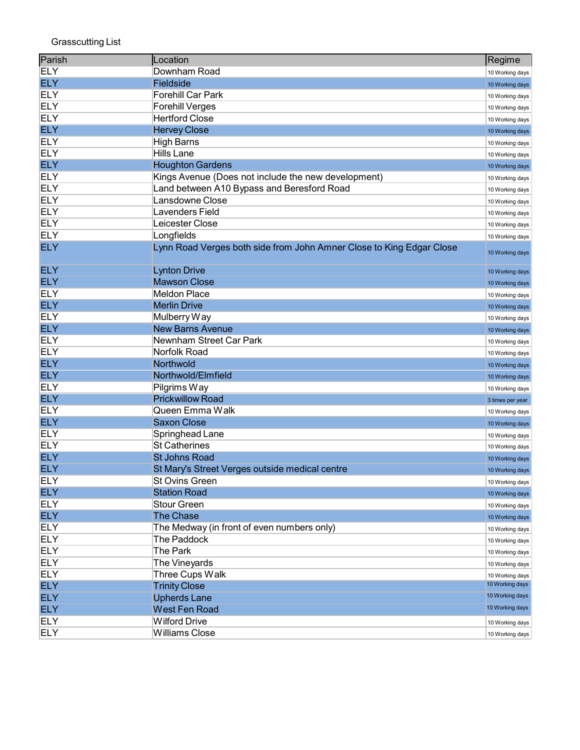| Parish     | Location                                                             | Regime           |
|------------|----------------------------------------------------------------------|------------------|
| <b>ELY</b> | Downham Road                                                         | 10 Working days  |
| <b>ELY</b> | Fieldside                                                            | 10 Working days  |
| <b>ELY</b> | Forehill Car Park                                                    | 10 Working days  |
| <b>ELY</b> | <b>Forehill Verges</b>                                               | 10 Working days  |
| <b>ELY</b> | <b>Hertford Close</b>                                                | 10 Working days  |
| <b>ELY</b> | <b>Hervey Close</b>                                                  | 10 Working days  |
| <b>ELY</b> | <b>High Barns</b>                                                    | 10 Working days  |
| <b>ELY</b> | <b>Hills Lane</b>                                                    | 10 Working days  |
| <b>ELY</b> | <b>Houghton Gardens</b>                                              | 10 Working days  |
| <b>ELY</b> | Kings Avenue (Does not include the new development)                  | 10 Working days  |
| <b>ELY</b> | Land between A10 Bypass and Beresford Road                           | 10 Working days  |
| <b>ELY</b> | Lansdowne Close                                                      | 10 Working days  |
| <b>ELY</b> | Lavenders Field                                                      | 10 Working days  |
| <b>ELY</b> | Leicester Close                                                      | 10 Working days  |
| <b>ELY</b> | Longfields                                                           | 10 Working days  |
| <b>ELY</b> | Lynn Road Verges both side from John Amner Close to King Edgar Close | 10 Working days  |
| <b>ELY</b> | <b>Lynton Drive</b>                                                  | 10 Working days  |
| <b>ELY</b> | <b>Mawson Close</b>                                                  | 10 Working days  |
| <b>ELY</b> | <b>Meldon Place</b>                                                  | 10 Working days  |
| <b>ELY</b> | <b>Merlin Drive</b>                                                  | 10 Working days  |
| <b>ELY</b> | Mulberry Way                                                         | 10 Working days  |
| <b>ELY</b> | <b>New Barns Avenue</b>                                              | 10 Working days  |
| <b>ELY</b> | Newnham Street Car Park                                              | 10 Working days  |
| <b>ELY</b> | Norfolk Road                                                         | 10 Working days  |
| <b>ELY</b> | Northwold                                                            | 10 Working days  |
| <b>ELY</b> | Northwold/Elmfield                                                   | 10 Working days  |
| <b>ELY</b> | Pilgrims Way                                                         | 10 Working days  |
| <b>ELY</b> | <b>Prickwillow Road</b>                                              | 3 times per year |
| <b>ELY</b> | Queen Emma Walk                                                      | 10 Working days  |
| <b>ELY</b> | <b>Saxon Close</b>                                                   | 10 Working days  |
| <b>ELY</b> | Springhead Lane                                                      | 10 Working days  |
| <b>ELY</b> | <b>St Catherines</b>                                                 | 10 Working days  |
| <b>ELY</b> | <b>St Johns Road</b>                                                 | 10 Working days  |
| <b>ELY</b> | St Mary's Street Verges outside medical centre                       | 10 Working days  |
| <b>ELY</b> | <b>St Ovins Green</b>                                                | 10 Working days  |
| <b>ELY</b> | <b>Station Road</b>                                                  | 10 Working days  |
| <b>ELY</b> | <b>Stour Green</b>                                                   | 10 Working days  |
| <b>ELY</b> | <b>The Chase</b>                                                     | 10 Working days  |
| <b>ELY</b> | The Medway (in front of even numbers only)                           | 10 Working days  |
| <b>ELY</b> | The Paddock                                                          | 10 Working days  |
| <b>ELY</b> | The Park                                                             | 10 Working days  |
| <b>ELY</b> | The Vineyards                                                        | 10 Working days  |
| <b>ELY</b> | Three Cups Walk                                                      | 10 Working days  |
| <b>ELY</b> | <b>Trinity Close</b>                                                 | 10 Working days  |
| <b>ELY</b> | <b>Upherds Lane</b>                                                  | 10 Working days  |
| <b>ELY</b> | <b>West Fen Road</b>                                                 | 10 Working days  |
| <b>ELY</b> | <b>Wilford Drive</b>                                                 | 10 Working days  |
| <b>ELY</b> | <b>Williams Close</b>                                                | 10 Working days  |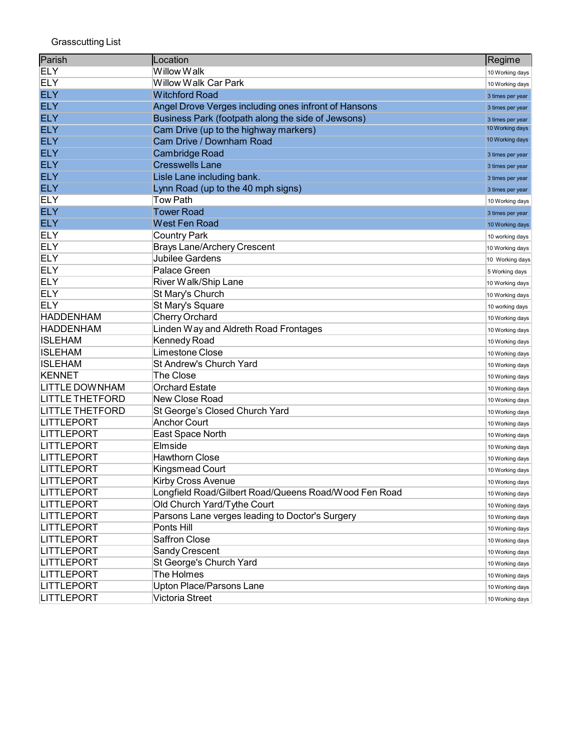| Parish                 | Location                                              | Regime           |
|------------------------|-------------------------------------------------------|------------------|
| <b>ELY</b>             | Willow Walk                                           | 10 Working days  |
| <b>ELY</b>             | Willow Walk Car Park                                  | 10 Working days  |
| <b>ELY</b>             | <b>Witchford Road</b>                                 | 3 times per year |
| <b>ELY</b>             | Angel Drove Verges including ones infront of Hansons  | 3 times per year |
| <b>ELY</b>             | Business Park (footpath along the side of Jewsons)    | 3 times per year |
| <b>ELY</b>             | Cam Drive (up to the highway markers)                 | 10 Working days  |
| <b>ELY</b>             | Cam Drive / Downham Road                              | 10 Working days  |
| <b>ELY</b>             | <b>Cambridge Road</b>                                 | 3 times per year |
| <b>ELY</b>             | <b>Cresswells Lane</b>                                | 3 times per year |
| <b>ELY</b>             | Lisle Lane including bank.                            | 3 times per year |
| <b>ELY</b>             | Lynn Road (up to the 40 mph signs)                    | 3 times per year |
| <b>ELY</b>             | <b>Tow Path</b>                                       | 10 Working days  |
| <b>ELY</b>             | <b>Tower Road</b>                                     | 3 times per year |
| <b>ELY</b>             | <b>West Fen Road</b>                                  | 10 Working days  |
| <b>ELY</b>             | <b>Country Park</b>                                   | 10 working days  |
| <b>ELY</b>             | <b>Brays Lane/Archery Crescent</b>                    | 10 Working days  |
| <b>ELY</b>             | Jubilee Gardens                                       | 10 Working days  |
| <b>ELY</b>             | <b>Palace Green</b>                                   | 5 Working days   |
| <b>ELY</b>             | River Walk/Ship Lane                                  | 10 Working days  |
| <b>ELY</b>             | St Mary's Church                                      | 10 Working days  |
| <b>ELY</b>             | St Mary's Square                                      | 10 working days  |
| <b>HADDENHAM</b>       | Cherry Orchard                                        | 10 Working days  |
| <b>HADDENHAM</b>       | Linden Way and Aldreth Road Frontages                 | 10 Working days  |
| <b>ISLEHAM</b>         | Kennedy Road                                          | 10 Working days  |
| <b>ISLEHAM</b>         | Limestone Close                                       | 10 Working days  |
| <b>ISLEHAM</b>         | St Andrew's Church Yard                               | 10 Working days  |
| <b>KENNET</b>          | The Close                                             | 10 Working days  |
| <b>LITTLE DOWNHAM</b>  | <b>Orchard Estate</b>                                 | 10 Working days  |
| <b>LITTLE THETFORD</b> | <b>New Close Road</b>                                 | 10 Working days  |
| <b>LITTLE THETFORD</b> | St George's Closed Church Yard                        | 10 Working days  |
| <b>LITTLEPORT</b>      | <b>Anchor Court</b>                                   | 10 Working days  |
| LITTLEPORT             | East Space North                                      | 10 Working days  |
| LITTLEPORT             | Elmside                                               | 10 Working days  |
| LITTLEPORT             | <b>Hawthorn Close</b>                                 | 10 Working days  |
| <b>LITTLEPORT</b>      | <b>Kingsmead Court</b>                                | 10 Working days  |
| LITTLEPORT             | <b>Kirby Cross Avenue</b>                             | 10 Working days  |
| <b>LITTLEPORT</b>      | Longfield Road/Gilbert Road/Queens Road/Wood Fen Road | 10 Working days  |
| <b>LITTLEPORT</b>      | Old Church Yard/Tythe Court                           | 10 Working days  |
| LITTLEPORT             | Parsons Lane verges leading to Doctor's Surgery       | 10 Working days  |
| <b>LITTLEPORT</b>      | Ponts Hill                                            | 10 Working days  |
| <b>LITTLEPORT</b>      | <b>Saffron Close</b>                                  | 10 Working days  |
| LITTLEPORT             | Sandy Crescent                                        | 10 Working days  |
| <b>LITTLEPORT</b>      | St George's Church Yard                               | 10 Working days  |
| <b>LITTLEPORT</b>      | The Holmes                                            | 10 Working days  |
| <b>LITTLEPORT</b>      | Upton Place/Parsons Lane                              | 10 Working days  |
| LITTLEPORT             | Victoria Street                                       | 10 Working days  |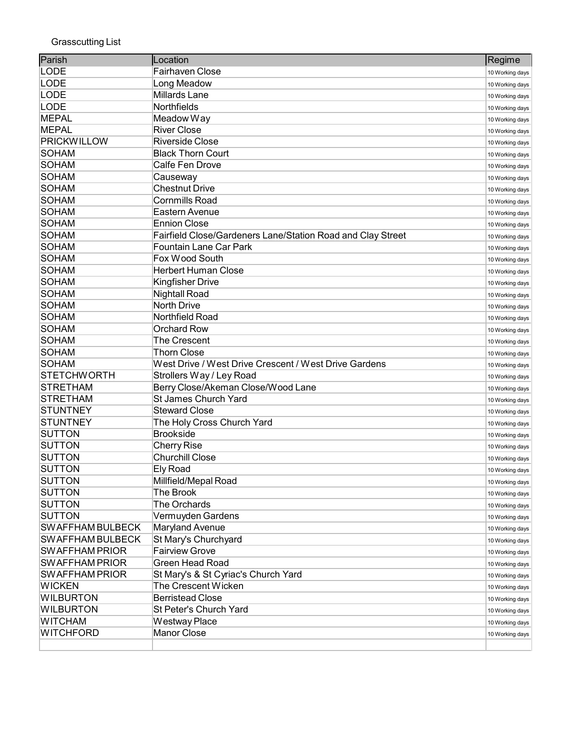| Parish                  | Location                                                    | Regime          |
|-------------------------|-------------------------------------------------------------|-----------------|
| <b>LODE</b>             | Fairhaven Close                                             | 10 Working days |
| LODE                    | Long Meadow                                                 | 10 Working days |
| LODE                    | Millards Lane                                               | 10 Working days |
| LODE                    | Northfields                                                 | 10 Working days |
| MEPAL                   | Meadow Way                                                  | 10 Working days |
| <b>MEPAL</b>            | <b>River Close</b>                                          | 10 Working days |
| <b>PRICKWILLOW</b>      | <b>Riverside Close</b>                                      | 10 Working days |
| SOHAM                   | <b>Black Thorn Court</b>                                    | 10 Working days |
| SOHAM                   | Calfe Fen Drove                                             | 10 Working days |
| SOHAM                   | Causeway                                                    | 10 Working days |
| SOHAM                   | <b>Chestnut Drive</b>                                       | 10 Working days |
| <b>SOHAM</b>            | <b>Cornmills Road</b>                                       | 10 Working days |
| <b>SOHAM</b>            | Eastern Avenue                                              | 10 Working days |
| <b>SOHAM</b>            | <b>Ennion Close</b>                                         | 10 Working days |
| <b>SOHAM</b>            | Fairfield Close/Gardeners Lane/Station Road and Clay Street | 10 Working days |
| <b>SOHAM</b>            | <b>Fountain Lane Car Park</b>                               | 10 Working days |
| <b>SOHAM</b>            | Fox Wood South                                              | 10 Working days |
| <b>SOHAM</b>            | <b>Herbert Human Close</b>                                  | 10 Working days |
| <b>SOHAM</b>            | <b>Kingfisher Drive</b>                                     | 10 Working days |
| <b>SOHAM</b>            | <b>Nightall Road</b>                                        | 10 Working days |
| <b>SOHAM</b>            | <b>North Drive</b>                                          | 10 Working days |
| <b>SOHAM</b>            | Northfield Road                                             | 10 Working days |
| <b>SOHAM</b>            | <b>Orchard Row</b>                                          | 10 Working days |
| <b>SOHAM</b>            | <b>The Crescent</b>                                         | 10 Working days |
| SOHAM                   | <b>Thorn Close</b>                                          | 10 Working days |
| SOHAM                   | West Drive / West Drive Crescent / West Drive Gardens       | 10 Working days |
| <b>STETCHWORTH</b>      | Strollers Way / Ley Road                                    | 10 Working days |
| <b>STRETHAM</b>         | Berry Close/Akeman Close/Wood Lane                          | 10 Working days |
| <b>STRETHAM</b>         | <b>St James Church Yard</b>                                 | 10 Working days |
| <b>STUNTNEY</b>         | <b>Steward Close</b>                                        | 10 Working days |
| <b>STUNTNEY</b>         | The Holy Cross Church Yard                                  | 10 Working days |
| <b>SUTTON</b>           | <b>Brookside</b>                                            | 10 Working days |
| <b>SUTTON</b>           | <b>Cherry Rise</b>                                          | 10 Working days |
| <b>SUTTON</b>           | <b>Churchill Close</b>                                      | 10 Working days |
| <b>SUTTON</b>           | <b>Ely Road</b>                                             | 10 Working days |
| SUTTON                  | Millfield/Mepal Road                                        | 10 Working days |
| <b>SUTTON</b>           | The Brook                                                   | 10 Working days |
| <b>SUTTON</b>           | The Orchards                                                | 10 Working days |
| <b>SUTTON</b>           | Vermuyden Gardens                                           | 10 Working days |
| <b>SWAFFHAM BULBECK</b> | Maryland Avenue                                             | 10 Working days |
| <b>SWAFFHAM BULBECK</b> | St Mary's Churchyard                                        | 10 Working days |
| <b>SWAFFHAM PRIOR</b>   | <b>Fairview Grove</b>                                       | 10 Working days |
| <b>SWAFFHAM PRIOR</b>   | <b>Green Head Road</b>                                      | 10 Working days |
| <b>SWAFFHAM PRIOR</b>   | St Mary's & St Cyriac's Church Yard                         | 10 Working days |
| <b>WICKEN</b>           | The Crescent Wicken                                         | 10 Working days |
| <b>WILBURTON</b>        | <b>Berristead Close</b>                                     | 10 Working days |
| <b>WILBURTON</b>        | St Peter's Church Yard                                      | 10 Working days |
| <b>WITCHAM</b>          | Westway Place                                               | 10 Working days |
| WITCHFORD               | <b>Manor Close</b>                                          | 10 Working days |
|                         |                                                             |                 |